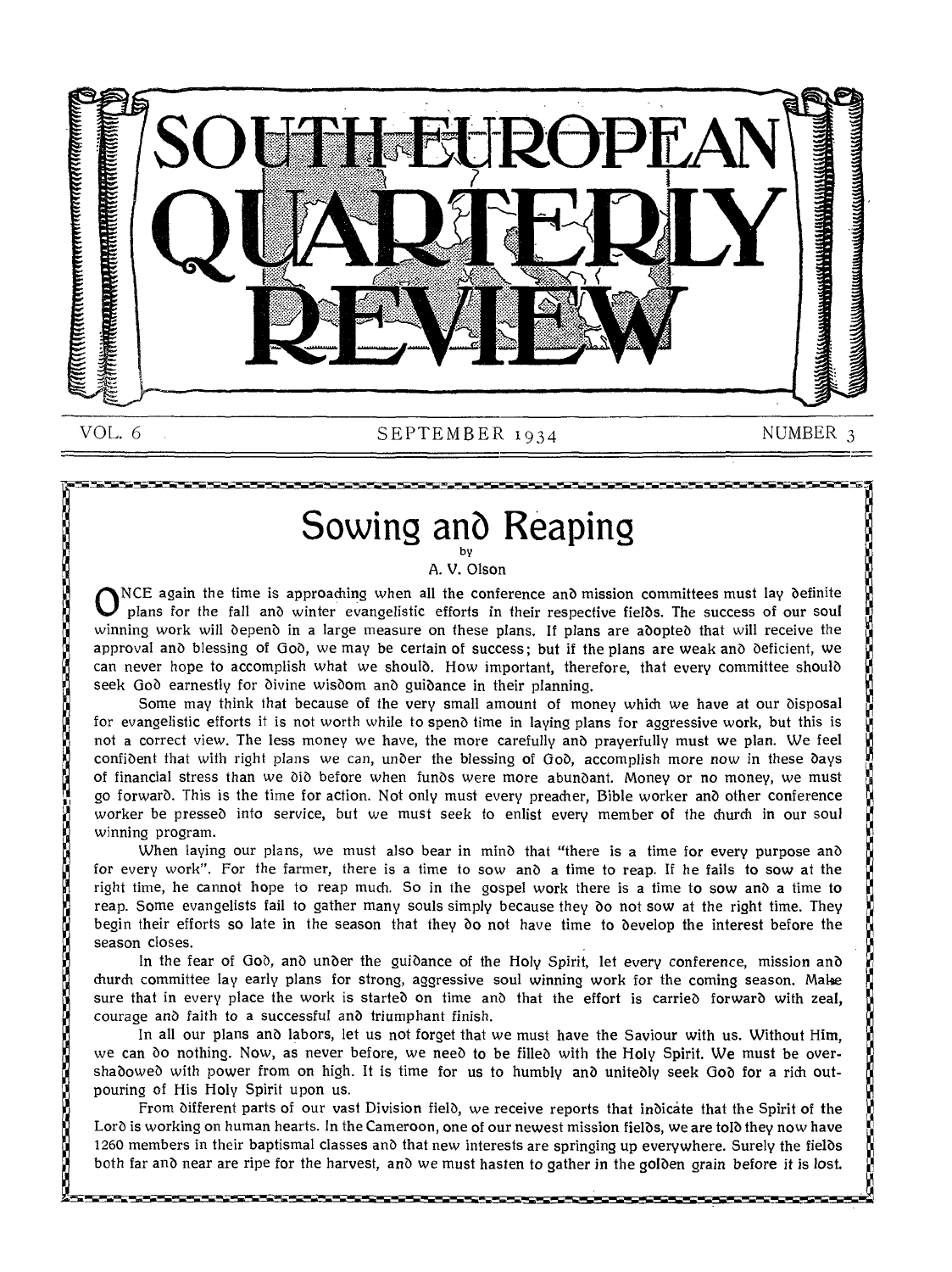

#### VOL. 6 SEPTEMBER 1934 NUMBER 3

化电位电位 化电子化电子化电子化电子化电子化电子化电子电子电子 化二乙基二乙基二乙基二乙基二乙基二乙基二乙基二乙基二乙基

# Sowing and Reaping

A. V. Olson

 $\dot{\mathbf{O}}_i$ NCE again the time is approaching when all the conference and mission committees must lay definite plans for the fall and winter evangelistic efforts in their respective fielbs. The success of our soul winning work will depend in a large measure on these plans. If plans are adopted that will receive the approval and blessing of Gob, we may be certain of success; but if the plans are weak and deficient, we can never hope to accomplish what we should. How important, therefore, that every committee should seek God earnestly for divine wisdom and guidance in their planning.

Some may think that because of the very small amount of money which we have at our disposal for evangelistic efforts it is not worth while to spend time in laying plans for aggressive work, but this is not a correct view. The less money we have, the more carefully and prayerfully must we plan. We feel confident that with right plans we can, unber the blessing of *Gob,* accomplish more now *in* these bays of financial stress than we did before when funds were more abundant. Money or no money, we must go forward. This is the time for action. Not only must every preacher, Bible worker anb other conference worker be pressed into service, but we must seek to enlist every member of the church in our soul winning program.

When laying our plans, we must also bear in mind that "there is a time for every purpose and for every work". For the farmer, there is a time to sow and a time to reap. If he fails to sow at the right time, he cannot hope to reap much. So in the gospel work there is a time to sow and a time to reap. Some evangelists fail to gather many souls simply because they bo not sow at the right time. They begin their efforts so late in the season that they bo not have time to develop the interest before the season closes.

In the fear of Goo, and under the guidance of the Holy Spirit, let every conference, mission and church committee lay early plans for strong, aggressive soul winning work for the coming season. Make sure that in every place the work is started on time and that the effort is carried forward with zeal, courage anb faith to a successful anb triumphant finish.

In all our plans and labors, let us not forget that we must have the Saviour with us. Without Him, we can do nothing. Now, as never before, we need to be filled with the Holy Spirit. We must be overshadowed with power from on high. It is time for us to humbly and unitedly seek God for a rich outpouring of His Holy Spirit upon us.

From different parts of our vast Division field, we receive reports that indicate that the Spirit of the Lord is working on human hearts. In the Cameroon, one of our newest mission fields, we are told they now have 1260 members in their baptismal classes and that new interests are springing up everywhere. Surely the fields both far and near are ripe for the harvest, and we must hasten to gather in the golden grain before it is lost.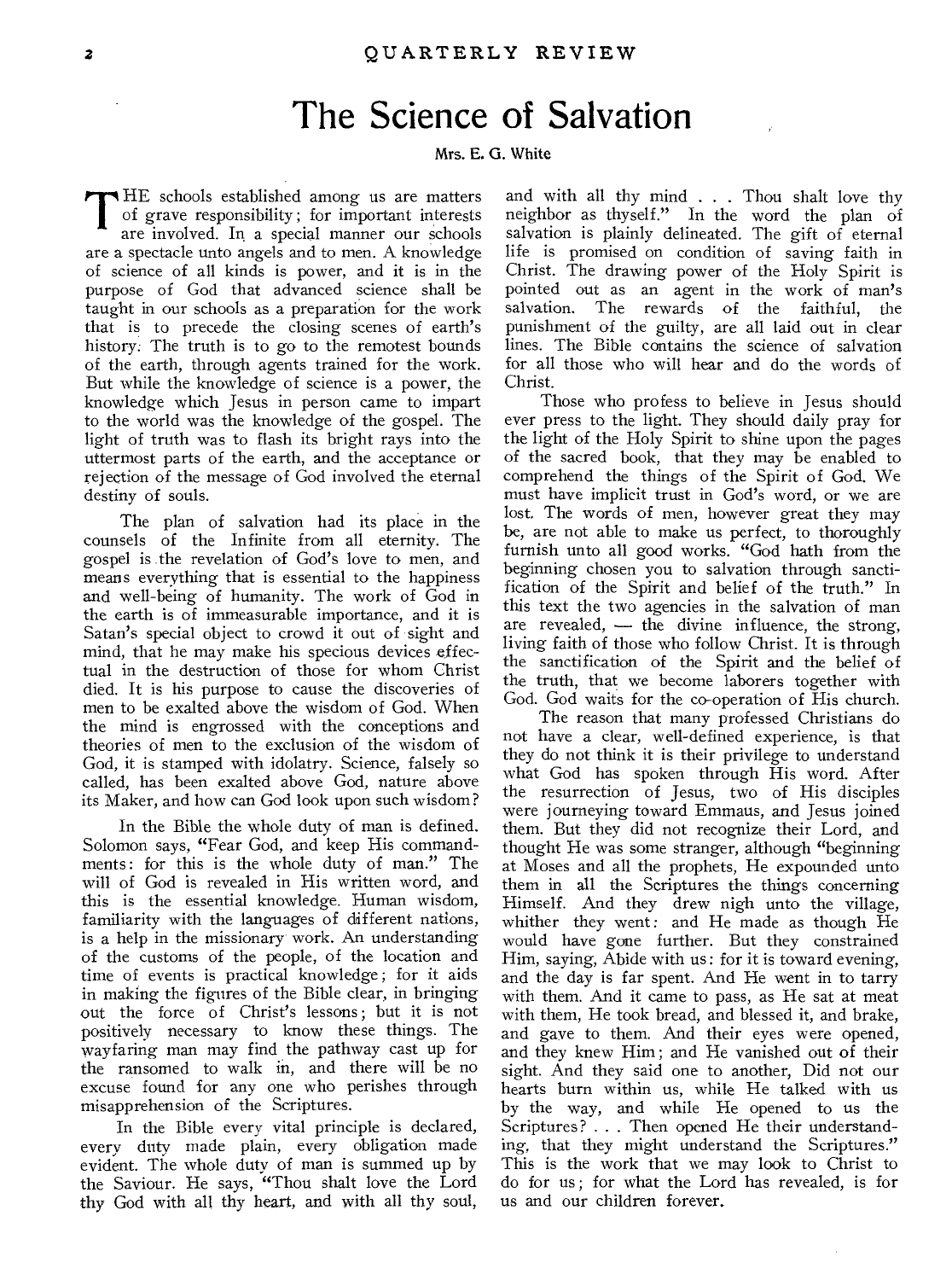### The Science of Salvation

#### Mrs. E. G. White

THE schools established among us are matters<br>of grave responsibility; for important interests<br>are involved. In a special manner our schools of grave responsibility ; for important interests are involved. In a special manner our schools are a spectacle unto angels and to men. A knowledge of science of all kinds is power, and it is in the purpose of God that advanced science shall be taught in our schools as a preparation for the work that is to precede the closing scenes of earth's history: The truth is to go to the remotest bounds of the earth, through agents trained for the work. But while the knowledge of science is a power, the knowledge which Jesus in person came to impart to the world was the knowledge of the gospel. The light of truth was to flash its bright rays into the uttermost parts of the earth, and the acceptance or rejection of the message of God involved the eternal destiny of souls.

The plan of salvation had its place in the counsels of the Infinite from all eternity. The gospel is the revelation of God's love to men, and means everything that is essential to the happiness and well-being of humanity. The work of God in the earth is of immeasurable importance, and it is Satan's special object to crowd it out of sight and mind, that he may make his specious devices effectual in the destruction of those for whom Christ died. It is his purpose to cause the discoveries of men to be exalted above the wisdom of God. When the mind is engrossed with the conceptions and theories of men to the exclusion of the wisdom of God, it is stamped with idolatry. Science, falsely so called, has been exalted above God, nature above its Maker, and how can God look upon such wisdom?

In the Bible the whole duty of man is defined. Solomon says, "Fear God, and keep His commandments: for this is the whole duty of man." The will of God is revealed in His written word, and this is the essential knowledge. Human wisdom, familiarity with the languages of different nations, is a help in the missionary work. An understanding of the customs of the people, of the location and time of events is practical knowledge ; for it aids in making the figures of the Bible clear, in bringing out the force of Christ's lessons ; but it is not positively necessary to know these things. The wayfaring man may find the pathway cast up for the ransomed to walk in, and there will be no excuse found for any one who perishes through misapprehension of the Scriptures.

In the Bible every vital principle is declared, every duty made plain, every obligation made evident. The whole duty of man is summed up by the Saviour. He says, "Thou shalt love the Lord thy God with all thy heart, and with all thy soul,

and with all thy mind . . . Thou shalt love thy neighbor as thyself." In the word the plan of salvation is plainly delineated. The gift of eternal life is promised on condition of saving faith in Christ. The drawing power of the Holy Spirit is pointed out as an agent in the work of man's The rewards of the faithful, the punishment of the guilty, are all laid out in clear lines. The Bible contains the science of salvation for all those who will hear and do the words of Christ.

Those who profess to believe in Jesus should ever press to the light. They should daily pray for the light of the Holy Spirit to shine upon the pages of the sacred book, that they may be enabled to comprehend the things of the Spirit of God. We must have implicit trust in God's word, or we are lost. The words of men, however great they may be, are not able to make us perfect, to thoroughly furnish unto all good works. "God hath from the beginning chosen you to salvation through sanctification of the Spirit and belief of the truth." In this text the two agencies in the salvation of man are revealed, — the divine influence, the strong, living faith of those who follow Christ. It is through the sanctification of the Spirit and the belief of the truth, that we become laborers together with God. God waits for the co-operation of His church.

The reason that many professed Christians do not have a clear, well-defined experience, is that they do not think it is their privilege to understand what God has spoken through His word. After the resurrection of Jesus, two of His disciples were journeying toward Emmaus, and Jesus joined them. But they did not recognize their Lord, and thought He was some stranger, although "beginning at Moses and all the prophets, He expounded unto them in all the Scriptures the things concerning Himself. And they drew nigh unto the village, whither they went: and He made as though He would have gone further. But they constrained Him, saying, Abide with us: for it is toward evening, and the day is far spent. And He went in to tarry with them. And it came to pass, as He sat at meat with them, He took bread, and blessed it, and brake, and gave to them. And their eyes were opened, and they knew Him ; and He vanished out of their sight. And they said one to another, Did not our hearts burn within us, while He talked with us by the way, and while He opened to us the Scriptures? . . Then opened He their understanding, that they might understand the Scriptures." This is the work that we may look to Christ to do for us ; for what the Lord has revealed, is for us and our children forever.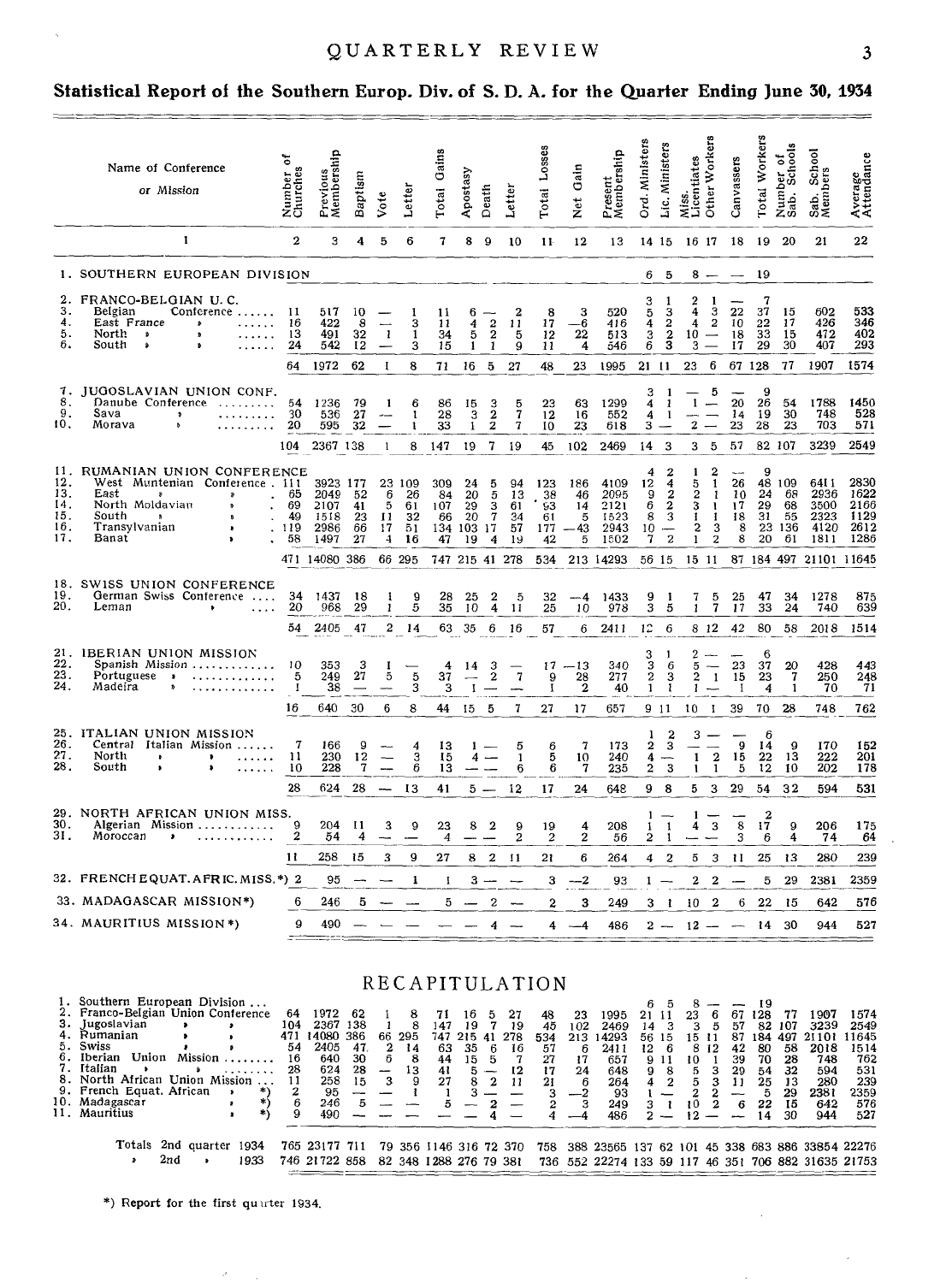#### **Statistical Report of the Southern Europ. Div. of S. D. A. for the Quarter Ending June 30, 1934**

|                                               | Name of Conference<br>or Mission                                                                                                                                                                                 | 5<br>Number<br>Churches     | Previous<br>Membership                           | Baptism                    | Vote                                  | Letter                             | Gains<br>Totai                      | Apostasy                                   | Death                                                   | Letter                           | $L$ <sub>0</sub> sse<br>Totai      | Gain<br>Net                     | Present<br>Membership                        | Ord. Ministers                                        | Lic. Ministers                                         | Other Workers<br>Miss.<br>Licentiates               | Canvassers                                                                              | Total Workers                         | Number of<br>Sab. Schools            | School<br>Sab. Scl<br>Members                | Average<br>Attendance                        |
|-----------------------------------------------|------------------------------------------------------------------------------------------------------------------------------------------------------------------------------------------------------------------|-----------------------------|--------------------------------------------------|----------------------------|---------------------------------------|------------------------------------|-------------------------------------|--------------------------------------------|---------------------------------------------------------|----------------------------------|------------------------------------|---------------------------------|----------------------------------------------|-------------------------------------------------------|--------------------------------------------------------|-----------------------------------------------------|-----------------------------------------------------------------------------------------|---------------------------------------|--------------------------------------|----------------------------------------------|----------------------------------------------|
|                                               | 1                                                                                                                                                                                                                | $\overline{2}$              | з                                                | 4                          | 5                                     | 6                                  | $\mathbf 7$                         | 8                                          | 9                                                       | 10                               | 11                                 | 12                              | 13                                           | 14 15                                                 |                                                        | 16 17                                               | 18                                                                                      | -19                                   | -20                                  | 21                                           | 22                                           |
|                                               | 1. SOUTHERN EUROPEAN DIVISION                                                                                                                                                                                    |                             |                                                  |                            |                                       |                                    |                                     |                                            |                                                         |                                  |                                    |                                 |                                              | 6.                                                    | 5                                                      | $8 -$                                               | $\overline{\phantom{a}}$                                                                | 19                                    |                                      |                                              |                                              |
| 2.<br>3.<br>4.<br>5.<br>6.                    | FRANCO-BELGIAN U.C.<br>Belgian<br>Conference<br>East France<br>$\boldsymbol{v}$<br>North.<br>$\mathbf{S}$<br>$\mathbf{r}$<br>South<br>Â<br>$\mathbf{a}$                                                          | 11<br>16<br>13<br>24        | 517<br>422<br>491<br>542                         | 10<br>8<br>32<br>12        | -1                                    | 1<br>3<br>$\mathbf{1}$<br>3        | 11<br>11<br>34<br>15                | 6<br>4<br>5<br>$\mathbf{I}$                | $\overline{\mathbf{c}}$<br>$\overline{\mathbf{2}}$<br>1 | 2<br>11<br>5<br>9                | 8<br>17<br>12<br>11                | 3<br>-6<br>22<br>4              | 520<br>416<br>513<br>546                     | 3<br>5<br>4<br>3<br>6                                 | 1<br>3<br>$\overline{2}$<br>$\frac{2}{3}$              | $\overline{2}$<br>-1<br>4<br>4<br>$10 -$<br>3       | 3<br>22<br>$\overline{\mathbf{2}}$<br>10<br>18<br>17                                    | 7<br>37<br>22<br>33<br>29             | 15<br>17<br>15<br>30                 | 602<br>426<br>472<br>407                     | 533<br>346<br>402<br>293                     |
|                                               |                                                                                                                                                                                                                  | 64                          | 1972                                             | 62                         | $\mathbf I$                           | 8                                  | 71                                  | 16                                         | 5                                                       | 27                               | 48                                 | 23                              | 1995                                         | 21 11                                                 |                                                        | 6<br>23                                             |                                                                                         | 67 128                                | 77                                   | 1907                                         | 1574                                         |
| 7.<br>8.<br>9.<br>10,                         | JUGOSLAVIAN UNION CONF.<br>Danube Conference<br>.<br>Sava<br>$\mathfrak{p}$<br>Morava<br>.                                                                                                                       | 54<br>30<br>20              | 1236<br>536<br>595                               | 79<br>27<br>32             | 1                                     | 6<br>1<br>1                        | 86<br>28<br>33                      | 15<br>3<br>$\mathbf{1}$                    | $\frac{3}{2}$                                           | 5<br>$\overline{1}$<br>7         | 23<br>12<br>10                     | 63<br>16<br>23                  | 1299<br>552<br>618                           | 3<br>4<br>4<br>3                                      | -1<br>1<br>-1                                          | $1 -$<br>$\overline{2}$<br>$\frac{1}{2}$            | 5<br>20<br>14<br>23                                                                     | 9<br>26<br>19<br>28                   | 54<br>30<br>23                       | 1788<br>748<br>703                           | 1450<br>528<br>571                           |
|                                               |                                                                                                                                                                                                                  | 104                         | 2367 138                                         |                            | -1                                    |                                    | 8 147                               | 19                                         | 7                                                       | 19                               | 45                                 | 102                             | 2469                                         | 14                                                    | 3                                                      | з                                                   | 5<br>57                                                                                 |                                       | 82 107                               | 3239                                         | 2549                                         |
| 11.<br>12.<br>13.<br>14.<br>15.<br>16.<br>17. | RUMANIAN UNION CONFERENCE<br>West Muntenian Conference, 111<br>East<br>$\boldsymbol{v}$<br>\$<br>North Moldavian<br>$\pmb{v}$<br>South<br>$\mathbf{p}$<br>$\mathbf{a}$<br>Transylvanian<br>$\mathbf{r}$<br>Banat | 65<br>69<br>49<br>119<br>58 | 3923 177<br>2049<br>2107<br>1518<br>2986<br>1497 | 52<br>41<br>23<br>66<br>27 | 23<br>6<br>5<br>11<br>17<br>4         | -109<br>26<br>61<br>32<br>51<br>16 | 309<br>84<br>107<br>66<br>134<br>47 | 24<br>20<br>29<br>20<br>103 17<br>19       | 5<br>5<br>з<br>$\tau$<br>4                              | 94<br>13<br>61<br>34<br>57<br>19 | 123<br>38<br>93<br>61<br>177<br>42 | 186<br>46<br>14<br>5<br>43<br>5 | 4109<br>2095<br>2121<br>1523<br>2943<br>1502 | 4<br>12<br>9<br>6<br>8<br>10<br>7                     | 2<br>4<br>2<br>$\boldsymbol{2}$<br>3<br>$\overline{2}$ | 1<br>5<br>$\overline{a}$<br>3<br>1<br>2<br>1        | $\overline{2}$<br>26<br>1<br>10<br>1<br>17<br>18<br>-1<br>3<br>8<br>$\overline{2}$<br>8 | 9<br>48<br>24<br>29<br>31<br>23<br>20 | 109<br>68<br>68<br>55<br>136<br>61   | 6411<br>2936<br>3500<br>2323<br>4120<br>1811 | 2830<br>1622<br>2166<br>1129<br>2612<br>1286 |
|                                               |                                                                                                                                                                                                                  |                             | 471 14080                                        | 386                        |                                       | 66 295                             |                                     | 747 215 41                                 |                                                         | 278                              | 534                                |                                 | 213 14293                                    | 56 15                                                 |                                                        | 15 11                                               |                                                                                         |                                       | 87 184 497                           | 21101                                        | 11645                                        |
| 18.<br>19.<br>20.                             | SWISS UNION CONFERENCE<br>German Swiss Conference<br>Leman                                                                                                                                                       | 34<br>20<br>54              | 1437<br>968<br>2405                              | 18<br>29<br>47             | 1<br>$\mathbf{1}$<br>$\boldsymbol{2}$ | 9<br>5<br>14                       | 28<br>35                            | 25<br>10<br>63 35                          | $\boldsymbol{2}$<br>4<br>6                              | 5<br>11<br>16                    | 32<br>25<br>57                     | $-4$<br>10<br>6                 | 1433<br>978<br>2411                          | 9<br>$\overline{\mathbf{3}}$<br>12                    | 1<br>5<br>6                                            | 7<br>1<br>8 1 2                                     | 5<br>25<br>$\overline{1}$<br>17<br>42                                                   | 47<br>33<br>80                        | 34<br>24<br>58                       | 1278<br>740<br>2018                          | 875<br>639<br>1514                           |
| 21.                                           | IBERIAN UNION MISSION                                                                                                                                                                                            |                             |                                                  |                            |                                       |                                    |                                     |                                            |                                                         |                                  |                                    |                                 |                                              | 3                                                     |                                                        | 2                                                   |                                                                                         | 6                                     |                                      |                                              |                                              |
| 22.<br>23.<br>24.                             | Spanish Mission<br>Portuguese<br>$\overline{\phantom{a}}$<br>Madeira                                                                                                                                             | 10<br>5<br>$\mathbf{I}$     | 353<br>249<br>38                                 | 3<br>27                    | 5                                     | 5<br>3                             | 4<br>37<br>3                        | 14<br>$\overline{\phantom{a}}$<br>$\bf{I}$ | 3<br>$\overline{2}$                                     | $\mathbf 7$                      | 17<br>9<br>$\mathbf{I}$            | $-13$<br>28<br>$\overline{2}$   | 340<br>277<br>40                             | 3<br>$\bf 2$<br>$\mathbf{1}$                          | 6<br>3<br>$\mathbf{1}$                                 | 5<br>$\overline{2}$<br>$\mathbf{1}$<br>$\mathbf{1}$ | 23<br>15<br>-1                                                                          | 37<br>23<br>4                         | 20<br>$\overline{7}$<br>$\mathbf{1}$ | 428<br>250<br>70                             | 443<br>248<br>71                             |
|                                               |                                                                                                                                                                                                                  | 16                          | 640                                              | 30                         | 6                                     | 8                                  | 44                                  | 15                                         | 5                                                       | 7                                | 27                                 | 17                              | 657                                          |                                                       | 9 11                                                   | 10<br>-1                                            | 39                                                                                      | 70                                    | 28                                   | 748                                          | 762                                          |
| 26.<br>27.<br>28.                             | 25. ITALIAN UNION MISSION<br>Central Italian Mission<br>North<br>$\bullet$<br>,<br>.<br>South<br>$\bullet$                                                                                                       | 7<br>11<br>10               | 166<br>230<br>228                                | 9<br>12<br>$\mathbf{7}$    | $\overline{\phantom{0}}$              | 4<br>3<br>6                        | 13<br>15<br>13                      | 4                                          | $1 -$                                                   | 5<br>1<br>6                      | 6<br>5<br>6                        | 7<br>10<br>$\mathbf 7$          | 173<br>240<br>235                            | 1<br>$\boldsymbol{2}$<br>4<br>$\overline{\mathbf{2}}$ | 2<br>$\overline{3}$<br>3                               | 3<br>$-$<br>$\mathbf{1}$<br>1                       | 9<br>$\bf{2}$<br>15<br>$\mathbf{1}$<br>5                                                | 6<br>14<br>22<br>12                   | 9<br>13<br>10                        | 170<br>222<br>202                            | 152<br>201<br>178                            |
|                                               |                                                                                                                                                                                                                  | 28                          | 624                                              | 28                         |                                       | 13                                 | 41                                  | $5 -$                                      |                                                         | 12                               | 17                                 | 24                              | 648                                          | 9                                                     | 8                                                      | 5                                                   | 29<br>3                                                                                 | 54                                    | 32                                   | 594                                          | 531                                          |
| 30.<br>31.                                    | 29. NORTH AFRICAN UNION MISS.<br>Algerian Mission<br>Moroccan<br>٠<br>. <b>.</b>                                                                                                                                 | 9<br>$\overline{2}$         | 204<br>54                                        | 11<br>4                    | 3                                     | 9                                  | 23<br>$\overline{4}$                | 8                                          | 2                                                       | 9<br>2                           | 19<br>$\overline{2}$               | 4<br>$\overline{2}$             | 208<br>56                                    | 1<br>1<br>$\overline{2}$                              | $\mathbf{1}$<br>1                                      | 1<br>4                                              | 8<br>3<br>3                                                                             | $\overline{2}$<br>17<br>6             | 9<br>4                               | 206<br>74                                    | 175<br>64                                    |
|                                               |                                                                                                                                                                                                                  | 11                          | 258                                              | 15                         | 3                                     | 9                                  | 27                                  | 8                                          | $\mathbf{2}$                                            | 11                               | 21                                 | 6                               | 264                                          | 4                                                     | 2                                                      | 5                                                   | 3<br>11                                                                                 | 25                                    | 13                                   | 280                                          | 239                                          |
|                                               | 32. FRENCH EQUAT. AFRIC. MISS. *) 2                                                                                                                                                                              |                             | 95                                               |                            |                                       | 1                                  | I                                   | з                                          |                                                         |                                  | 3                                  | $-2$                            | 93                                           | $1 -$                                                 |                                                        | 2                                                   | $\overline{2}$                                                                          | 5                                     | 29                                   | 2381                                         | 2359                                         |
|                                               | 33. MADAGASCAR MISSION*)<br>34. MAURITIUS MISSION *)                                                                                                                                                             | 6<br>9                      | 246                                              | 5                          |                                       |                                    | 5                                   |                                            | $\overline{2}$                                          |                                  | $\overline{2}$                     | 3                               | 249                                          | 3                                                     | -1                                                     | 10                                                  | $\overline{2}$<br>6                                                                     | 22                                    | 15                                   | 642                                          | 576                                          |
|                                               |                                                                                                                                                                                                                  |                             | 490                                              |                            |                                       |                                    |                                     |                                            | 4                                                       |                                  | 4                                  | --4                             | 486                                          |                                                       | $2 -$                                                  | $12 -$                                              |                                                                                         | 14                                    | 30                                   | 944                                          | 527                                          |

RECAPITULATION

| 1. Southern European Division      |                    |           |     |                                      |     |                          |        |                        |            |              |      |     |      |                                                     |       |                |              |             |     |      |      |       |       |
|------------------------------------|--------------------|-----------|-----|--------------------------------------|-----|--------------------------|--------|------------------------|------------|--------------|------|-----|------|-----------------------------------------------------|-------|----------------|--------------|-------------|-----|------|------|-------|-------|
| 2. Franco-Belgian Union Conference |                    |           | 64  | 1972                                 | -62 |                          | 8      | 71                     | 16         | -5           | 27   | 48  | 23   | 1995                                                | 21 11 |                | 23           |             | 67  | -128 | 77   | 1907  | 1574  |
| 3. Jugoslavian                     |                    |           | 104 | 2367 138                             |     |                          |        | 147                    | 19         |              | - 19 | 45  | 102  | 2469                                                |       | $14 \quad 3$   | $\mathbf{3}$ | 5.          | 57  | 82   | -107 | 3239  | 2549  |
| 4. Rumanian                        |                    |           | 471 | 14080                                | 386 |                          | 66 295 |                        | 747 215 41 |              | 278  | 534 | 213. | 14293                                               | 56 15 |                | 15 11        |             | 87  | 184  | 497  | 21101 | 11645 |
| 5. Swiss                           |                    |           | 54  | 2405                                 | 47. |                          | 14     | 63                     | -35        | -6           | -16  | 57  | 6    | 2411                                                |       | $12 \quad 6$   |              | 8 12        | 42  | 80   | 58   | 2018  | 1514  |
| Union<br>6. Iberian                |                    | Mission   | 16  | 640                                  | 30  | 6.                       | 8      | 44                     |            | $15 \quad 5$ | 7    | 27  | 17   | 657                                                 |       | 911            | 10.          |             | 39. | 70   | 28   | 748   | 762   |
| 7. Italian                         |                    | .         | 28  | 624                                  | 28  | $\overline{\phantom{a}}$ | 13     | 41                     |            |              | -12  | 17  | 24   | 648                                                 |       | 98             |              | $5 \quad 3$ | 29  | -54  | 32   | 594   | 531   |
| 8. North African Union Mission     |                    |           | 11  | 258                                  | 15. | -3                       | -9     | 27                     |            | 8 2          |      | 21  | 6    | 264                                                 |       | $4 \t2$        | 5.           |             | 11  | 25   | 13   | 280   | 239   |
| 9. French Equat. African           |                    | $^{\ast}$ |     | 95                                   |     |                          |        |                        |            |              |      |     | $-2$ | 93                                                  |       |                |              |             |     |      | 29   | 2381  | 2359  |
| 10. Madagascar                     |                    |           |     | 246                                  | 5.  |                          |        |                        |            |              |      |     | з    | 249                                                 |       | 3 <sub>1</sub> | 10.          | -2          | 6   | 22   | 15   | 642   | 576   |
| 11. Mauritius                      |                    |           |     | 490                                  |     |                          |        |                        |            |              |      |     |      | 486                                                 |       |                |              |             |     | 14   | 30   | 944   | 527   |
|                                    |                    |           |     |                                      |     |                          |        |                        |            |              |      |     |      |                                                     |       |                |              |             |     |      |      |       |       |
|                                    | Totals 2nd quarter | 1934      |     | 765 23177 711                        |     |                          |        | 79 356 1146 316 72 370 |            |              |      |     |      | 758 388 23565 137 62 101 45 338 683 886 33854 22276 |       |                |              |             |     |      |      |       |       |
|                                    | 2nd                | 1933      |     | 746 21722 858 82 348 1288 276 79 381 |     |                          |        |                        |            |              |      |     |      | 736 552 22274 133 59 117 46 351 706 882 31635 21753 |       |                |              |             |     |      |      |       |       |

 $\overline{\phantom{a}}$ 

\*) Report for the first quarter 1934.

þ,

 $\bar{\mathbf{v}}$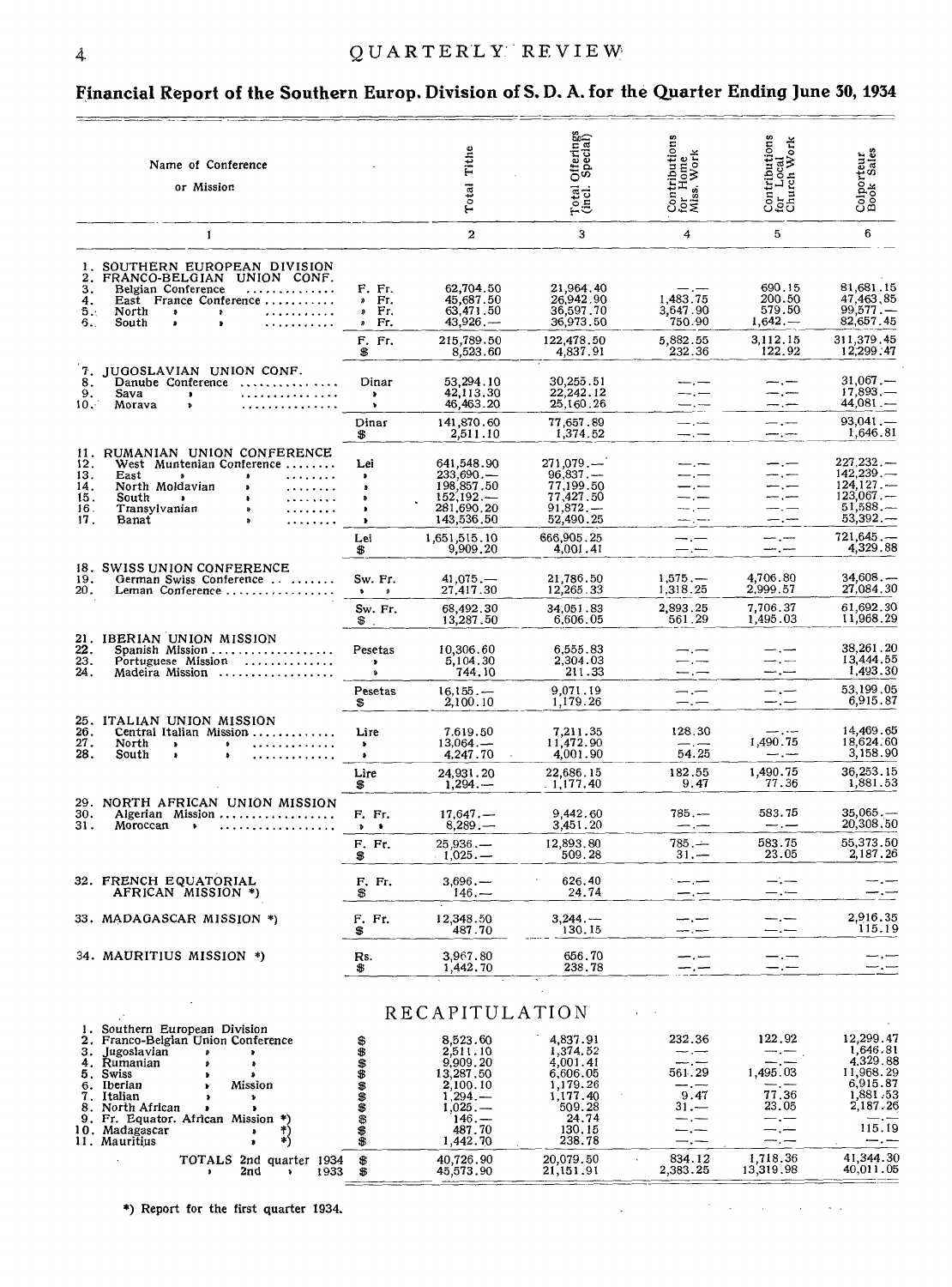### **Financial Report of the Southern Europ. Division of S.D. A. for the Quarter Ending June 30, 1934**

| Offerings<br>Special)<br>Contributions<br>for Home<br>Miss, Work<br>Tithe<br>Name of Conference<br>Total<br>or Mission<br>Total<br>(incl.                                                                                                                                                                                                                                                                                                                                                                                                                                                                                                                                                                                 | Contributions<br>for Local<br>Church Work<br>Colporteur<br>Book Sales                                                                                         |
|---------------------------------------------------------------------------------------------------------------------------------------------------------------------------------------------------------------------------------------------------------------------------------------------------------------------------------------------------------------------------------------------------------------------------------------------------------------------------------------------------------------------------------------------------------------------------------------------------------------------------------------------------------------------------------------------------------------------------|---------------------------------------------------------------------------------------------------------------------------------------------------------------|
| $\overline{a}$<br>3<br>4<br>1                                                                                                                                                                                                                                                                                                                                                                                                                                                                                                                                                                                                                                                                                             | 6<br>5                                                                                                                                                        |
| 1. SOUTHERN EUROPEAN DIVISION<br>FRANCO-BELGIAN UNION CONF.<br>2.<br>21,964.40<br>3.<br>F. Fr.<br>62,704.50<br>Belgian Conference<br>.<br>1,483.75<br>26,942.90<br>45,687.50<br>East France Conference<br>$E$ .<br>4.<br>36,597.70<br>3,647.90<br>63,471.50<br>» Fr.<br>Б.,<br>North<br>.<br>$\bullet$<br>$\pmb{\cdot}$<br>43,926<br>36,973.50<br>750.90<br>6.<br>South<br>$\sqrt{r}$ .<br>٠<br>Ŷ.<br>.<br>215,789.50<br>122,478.50<br>5,882.55<br>F. Fr.                                                                                                                                                                                                                                                                 | 690.15<br>81,681.15<br>200.50<br>47,463,85<br>99,577<br>579.50<br>82,657.45<br>$1,642-$<br>3,112.15<br>311,379.45                                             |
| 4,837.91<br>232.36<br>8,523.60<br>\$<br>7.<br>JUGOSLAVIAN UNION CONF.<br>Dinar<br>53,294.10<br>30,255.51<br>Danube Conference<br>8.<br>42,113.30<br>22,242.12<br>9.<br>. <i>.</i> .<br>Sava<br>--.--<br>$\bullet$<br>$\bullet$<br>10.7<br>46,463.20<br>25,160.26<br>. <b>. . . .</b><br>Morava<br>$\bullet$<br>$\pmb{\mathfrak{d}}$<br>—. —                                                                                                                                                                                                                                                                                                                                                                               | 12,299.47<br>122.92<br>$31,067-$<br>----<br>17,893<br>—. —<br>44,081.—<br>-.-                                                                                 |
| 77,657.89<br>141,870.60<br>Dinar<br>— <del>.</del><br>1,374.52<br>2,511.10<br>\$<br>—.—                                                                                                                                                                                                                                                                                                                                                                                                                                                                                                                                                                                                                                   | $93,041$ .<br>$-$ . $-$<br>1,646.81<br>---                                                                                                                    |
| 11. RUMANIAN UNION CONFERENCE<br>271,079<br>641,548.90<br>12.<br>West Muntenian Conference<br>Lei<br>---<br>96,837<br>$233,690 -$<br>13.<br>East<br>$\pmb{v}$<br>$\sim$<br>$\bullet$<br>$\bullet$<br>198,857.50<br>77,199.50<br>14.<br>North Moldavian<br>— , —<br>$\begin{array}{cccccccccc} \bullet & \bullet & \bullet & \bullet & \bullet & \bullet & \bullet & \bullet & \bullet & \bullet \end{array}$<br>$\bullet$<br>٠<br>152,192.<br>77,427,50<br>15.<br>—— , ——<br>South<br>$\cdots$<br>$\bullet$ $\bullet$<br>٠<br>281,690.20<br>$91,872, -$<br>16.<br>Transvlvanian<br>1.1.1.1.1.1<br>----<br>$\pmb{v}$<br>52,490.25<br>143,536.50<br>17.<br>Banat<br>--- , ---<br>666,905.25<br>1,651,515.10<br>$-,-$<br>Lei | 227,232<br>---<br>142,239<br>--.<br>124, 127<br>—.—<br>123.067<br>— . —<br>$51,588,$ —<br>53,392.<br>--.--<br>721.645<br>سب إست                               |
| 9,909,20<br>4.001.41<br>\$<br>—.—                                                                                                                                                                                                                                                                                                                                                                                                                                                                                                                                                                                                                                                                                         | 4,329.88<br>---.---                                                                                                                                           |
| 18. SWISS UNION CONFERENCE<br>4,706.80<br>19.<br>21,786.50<br>$1,575, -$<br>Sw. Fr.<br>$41,075,$ —<br>German Swiss Conference<br>2,999.57<br>12,265.33<br>1,318.25<br>27,417.30<br>20.<br>Leman Conference<br>$\bullet$ $\theta$<br>2,893.25<br>7,706.37<br>68.492.30<br>34.051.83<br>Sw. Fr.                                                                                                                                                                                                                                                                                                                                                                                                                             | 34,608<br>27,084.30<br>61,692.30                                                                                                                              |
| 561.29<br>1,495.03<br>13,287.50<br>6.606.05<br>$^{\circ}$ .                                                                                                                                                                                                                                                                                                                                                                                                                                                                                                                                                                                                                                                               | 11,968.29                                                                                                                                                     |
| 21. IBERIAN UNION MISSION<br>22.<br>10,306.60<br>Spanish Mission<br>Pesetas<br>6,555.83<br>$-.-$<br>$\frac{23}{24}$ .<br>5,104.30<br>Portuguese Mission<br>2,304.03<br>$\mathbf{r}$<br>$-\,$<br>744.10<br>211.33<br>Madeira Mission<br>$\mathbf{a}$<br>----                                                                                                                                                                                                                                                                                                                                                                                                                                                               | 38,261,20<br>$-$ . $-$<br>13,444.55<br>---<br>1,493.30<br>مستدر مست                                                                                           |
| 9.071.19<br>Pesetas<br>16,155<br>$-$ . $-$<br>1,179.26<br>2,100.10<br>\$<br>$-$ . $-$                                                                                                                                                                                                                                                                                                                                                                                                                                                                                                                                                                                                                                     | 53,199,05<br>المستاني للمسا<br>6,915.87<br>--.-                                                                                                               |
| 25. ITALIAN UNION MISSION<br>26.<br>128.30<br>7.619.50<br>Central Italian Mission<br>Lire<br>7,211.35<br>1,490.75<br>27.<br>11,472.90<br>North<br>. . <b>.</b> .<br>$13,064. -$<br>$-\frac{1}{2}$<br>$\bullet$<br>$\bullet$<br>$\bullet$<br>28.<br>54.25<br>4,247.70<br>4,001.90<br>South<br>۰<br>.<br>۰<br>1,490.75<br>24,931.20<br>22,686.15<br>182.55<br>Lire                                                                                                                                                                                                                                                                                                                                                          | 14,469.65<br>$-\cdot$ . $-$<br>18,624.60<br>3,158.90<br>$  -$<br>36,253.15                                                                                    |
| 9.47<br>$1,294. -$<br>.1.177.40<br>\$                                                                                                                                                                                                                                                                                                                                                                                                                                                                                                                                                                                                                                                                                     | 1,881.53<br>77.36                                                                                                                                             |
| 29. NORTH AFRICAN UNION MISSION<br>30.<br>9,442.60<br>$785. -$<br>Algerian Mission<br>F. Fr.<br>17,647<br>31.<br>$8,289, -$<br>3,451.20<br>Moroccan<br>$---,---$<br>.<br>$\mathbf{b}$                                                                                                                                                                                                                                                                                                                                                                                                                                                                                                                                     | 583.75<br>35,065<br>20,308,50<br>$-$ . $-$                                                                                                                    |
| $785 -$<br>12,893,80<br>F. Fr.<br>$25.936 -$<br>509.28<br>$1,025.$ —<br>$31 -$<br>\$                                                                                                                                                                                                                                                                                                                                                                                                                                                                                                                                                                                                                                      | 583.75<br>55,373.50<br>23.05<br>2,187.26                                                                                                                      |
| 32. FRENCH EQUATORIAL<br>$3,696, -$<br>626.40<br>F. Fr.<br>$-$ , $-$<br>AFRICAN MISSION *)<br>\$<br>$146. -$<br>24.74                                                                                                                                                                                                                                                                                                                                                                                                                                                                                                                                                                                                     | — —                                                                                                                                                           |
| 33. MADAGASCAR MISSION *)<br>F. Fr.<br>12,348.50<br>$3,244.$ —<br>130.15<br>487.70<br>\$                                                                                                                                                                                                                                                                                                                                                                                                                                                                                                                                                                                                                                  | 2,916.35<br>115.19                                                                                                                                            |
| 34. MAURITIUS MISSION *)<br>Rs.<br>3,967.80<br>656.70<br>238.78<br>\$<br>1,442.70                                                                                                                                                                                                                                                                                                                                                                                                                                                                                                                                                                                                                                         |                                                                                                                                                               |
| RECAPITULATION                                                                                                                                                                                                                                                                                                                                                                                                                                                                                                                                                                                                                                                                                                            |                                                                                                                                                               |
| 1. Southern European Division<br>4,837.91<br>232.36<br>2. Franco-Belgian Union Conference<br>8,523.60<br><b>\$\$\$\$\$\$\$\$\$\$</b><br>2,511.10<br>1,374.52<br>3. Jugoslavian<br>----<br>,<br>D<br>9,909.20<br>4,001.41<br>4. Rumanian<br>— , —<br>٠<br>1,495.03<br>561.29<br>13,287.50<br>6,606.05<br>5. Swiss<br>٠<br>1,179.26<br>2,100.10<br>6. Iberian<br>Mission<br>--.-<br>9.47<br>$1,294-$<br>1,177.40<br>7. Italian<br>$\bullet$<br>$31 -$<br>1,025<br>8. North African<br>509.28<br>,<br>9. Fr. Equator. African Mission *)<br>24.74<br>$146 -$<br>— , ——<br>487.70<br>10. Madagascar<br>*)<br>130.15<br>$\bullet$<br>×)<br>\$<br>238.78<br>1,442.70<br>11. Mauritius                                           | 122.92<br>12,299.47<br>1,646.81<br>4.329.88<br>11,968.29<br>6,915.87<br>77.36<br>1,881.53<br>2,187.26<br>23.05<br>— . —<br>—. —<br>115.19<br>- . ---<br>— . — |
| 1,718.36<br>20,079.50<br>834.12<br>40,726.90<br>TOTALS 2nd quarter 1934<br>\$<br>2,383.25<br>13,319.98<br>2nd<br>\$<br>45,573.90<br>21,151.91<br>1933<br>$\bullet$<br>٠                                                                                                                                                                                                                                                                                                                                                                                                                                                                                                                                                   | 41,344.30<br>40,011.05                                                                                                                                        |

 $\epsilon$ 

 $\sim 10^7$ 

 $\sim 10^7$  $\sim 100$ 

 $\ddot{\phantom{a}}$ 

5) Report for the first quarter 1934.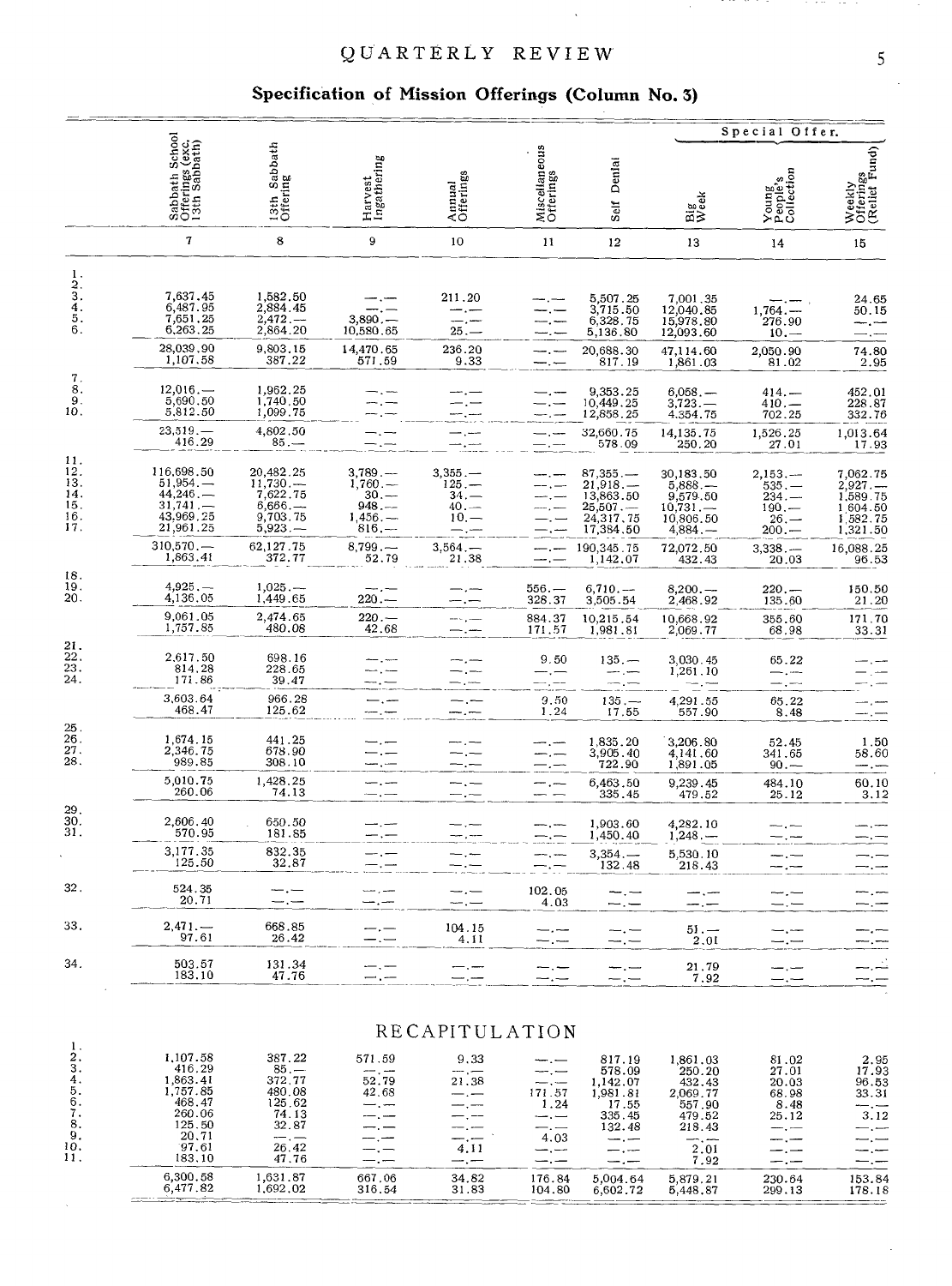#### QUARTERLY REVIEW

### **Specification of Mission Offerings (Column No. 3)**

|                                                     |                                                                                            |                                                                                 |                                                                   |                                                                |                                                                       |                                                                                          |                                                                                | Special Offer.                                                      |                                                                        |  |  |  |  |
|-----------------------------------------------------|--------------------------------------------------------------------------------------------|---------------------------------------------------------------------------------|-------------------------------------------------------------------|----------------------------------------------------------------|-----------------------------------------------------------------------|------------------------------------------------------------------------------------------|--------------------------------------------------------------------------------|---------------------------------------------------------------------|------------------------------------------------------------------------|--|--|--|--|
|                                                     | Sabbath School<br>Offerings (exc.<br>13th Sabbath)                                         | 13th Sabbath<br>Offering                                                        | Harvest<br>Ingathering                                            | Annual<br>Offerings                                            | Miscellaneous<br>Offerings                                            | Denial<br>Self                                                                           | Big<br>Week                                                                    | Young<br>People's<br>Collection                                     | Weekly<br>Offerings<br>(Relief Fund)                                   |  |  |  |  |
|                                                     | 7                                                                                          | 8                                                                               | 9                                                                 | 10                                                             | 11                                                                    | 12                                                                                       | 13                                                                             | 14                                                                  | 15                                                                     |  |  |  |  |
| 1.<br>2.<br>3.<br>4.<br>5.<br>6.                    | 7,637.45<br>6,487.95<br>7,651.25<br>6,263,25<br>28,039,90                                  | 1,582.50<br>2,884.45<br>2,472<br>2,864.20<br>9,803.15                           | $3,890 -$<br>10,580.65                                            | 211.20<br>$25. -$                                              |                                                                       | 5,507.25<br>3,715.50<br>6,328,75<br>5,136.80                                             | 7,001.35<br>12,040.85<br>15,978.80<br>12,093.60                                | $1,764. -$<br>276.90<br>$10 -$                                      | 24.65<br>50.15                                                         |  |  |  |  |
| 7.                                                  | 1,107.58                                                                                   | 387.22                                                                          | 14,470.65<br>571.59                                               | 236.20<br>9.33                                                 |                                                                       | 20,688.30<br>817.19                                                                      | 47,114.60<br>1,861.03                                                          | 2,050.90<br>81.02                                                   | 74.80<br>2.95                                                          |  |  |  |  |
| 8.<br>9.<br>10.                                     | 12,016<br>5,690.50<br>5,812.50                                                             | 1,962.25<br>1,740.50<br>1,099.75                                                |                                                                   |                                                                |                                                                       | 9,353.25<br>10,449.25<br>12,858.25                                                       | $6,058.$ —<br>$3,723-$<br>4.354.75                                             | $414. -$<br>$410. -$<br>702.25                                      | 452.01<br>228.87<br>332.76                                             |  |  |  |  |
|                                                     | 23,519<br>416.29                                                                           | 4,802.50<br>$85. -$                                                             |                                                                   |                                                                |                                                                       | 32,660.75<br>578.09                                                                      | 14,135.75<br>250.20                                                            | 1,526.25<br>27.01                                                   | 1,013.64<br>17.93                                                      |  |  |  |  |
| 11.<br>12.<br>13.<br>14.<br>15.<br>16.<br>17.       | 116,698.50<br>51,954<br>44,246<br>31,741<br>43,969.25<br>21,961.25<br>310,570              | 20,482.25<br>11,730<br>7,622.75<br>6,666<br>9,703.75<br>$5,923, -$<br>62,127.75 | 3,789<br>1,760<br>$30, -$<br>$948 -$<br>1,456<br>$816 -$<br>8,799 | 3,355<br>$125 -$<br>$34. -$<br>$40. -$<br>$10 -$<br>$3.564. -$ |                                                                       | $87,355--$<br>21,918.<br>13,863.50<br>25,507<br>24,317,75<br>17,384.50                   | 30,183.50<br>5,888<br>9,579.50<br>10,731<br>10,806.50<br>$4,884-$              | $2,153, -$<br>$535. -$<br>$234. -$<br>$190, -$<br>$26 -$<br>$200 -$ | $7,062.75$<br>$2,927.$<br>1,589.75<br>1 604 50<br>1,582.75<br>1,321.50 |  |  |  |  |
|                                                     | 1,863.41                                                                                   | 372.77                                                                          | 52.79                                                             | 21.38                                                          |                                                                       | 190,345.75<br>1,142,07                                                                   | 72,072.50<br>432.43                                                            | 3,338.<br>20.03                                                     | 16,088.25<br>96.53                                                     |  |  |  |  |
| 18.<br>19.<br>20.                                   | 4,925.—<br>4,136,05                                                                        | 1,025<br>1,449.65                                                               | $220 -$                                                           |                                                                | 556.—<br>328,37                                                       | 6,710<br>3,505.54                                                                        | $8,200. -$<br>2,468.92                                                         | $220. -$<br>135.60                                                  | 150.50<br>21,20                                                        |  |  |  |  |
|                                                     | 9,061.05<br>1,757.85                                                                       | 2,474.65<br>480.08                                                              | $220 -$<br>42.68                                                  |                                                                | 884.37<br>171.57                                                      | 10,215.54<br>1,981.81                                                                    | 10,668.92<br>2,069.77                                                          | 355.60<br>68.98                                                     | 171.70<br>33.31                                                        |  |  |  |  |
| $\frac{21}{22}$<br>$\frac{23}{24}$ .                | 2,617.50<br>814.28<br>171.86                                                               | 698.16<br>228.65<br>39.47                                                       |                                                                   |                                                                | 9.50                                                                  | $135 -$                                                                                  | 3,030.45<br>1,261.10                                                           | 65.22                                                               |                                                                        |  |  |  |  |
|                                                     | 3,603.64<br>468.47                                                                         | 966.28<br>125.62                                                                |                                                                   |                                                                | 9.50<br>1.24                                                          | $135 -$<br>17.55                                                                         | 4,291.55<br>557.90                                                             | 65.22<br>8.48                                                       |                                                                        |  |  |  |  |
| $\frac{25}{26}$ .<br>$\frac{27}{28}$ .              | 1,674.15<br>2,346,75<br>989.85                                                             | 441.25<br>678.90<br>308.10                                                      |                                                                   |                                                                | -.-                                                                   | 1,835.20<br>3,905.40<br>722.90                                                           | 3,206.80<br>4,141.60<br>1,891.05                                               | 52.45<br>341.65<br>$90 -$                                           | 1.50<br>58.60<br>$-$ . $-$                                             |  |  |  |  |
|                                                     | 5,010.75<br>260.06                                                                         | 1,428.25<br>74.13                                                               |                                                                   |                                                                |                                                                       | 6,463.50<br>335.45                                                                       | 9,239.45<br>479.52                                                             | 484.10<br>25.12                                                     | 60.10<br>3.12                                                          |  |  |  |  |
| 29.<br>30.<br>31.                                   | 2,606.40<br>570.95                                                                         | 650.50<br>181.85                                                                |                                                                   |                                                                |                                                                       | 1,903.60<br>1,450.40                                                                     | 4,282.10<br>$1,248, -$                                                         |                                                                     |                                                                        |  |  |  |  |
|                                                     | 3,177.35<br>125.50                                                                         | 832.35<br>32.87                                                                 |                                                                   |                                                                |                                                                       | $3,354, -$<br>132.48                                                                     | 5,530.10<br>218.43                                                             |                                                                     |                                                                        |  |  |  |  |
| 32.                                                 | 524.35<br>20.71                                                                            | —.                                                                              |                                                                   | — . —                                                          | 102.05<br>4.03                                                        |                                                                                          |                                                                                |                                                                     |                                                                        |  |  |  |  |
| 33.                                                 | $2,471-$<br>97.61                                                                          | 668.85<br>26.42                                                                 |                                                                   | 104.15<br>4.11                                                 |                                                                       |                                                                                          | $51 -$<br>2,01                                                                 |                                                                     |                                                                        |  |  |  |  |
| 34.                                                 | 503.57<br>183.10                                                                           | 131.34<br>47.76                                                                 |                                                                   | —.—                                                            | $-$ , $-$<br>- -                                                      | —.<br>---                                                                                | 21.79<br>7.92                                                                  |                                                                     |                                                                        |  |  |  |  |
|                                                     |                                                                                            |                                                                                 |                                                                   |                                                                |                                                                       |                                                                                          |                                                                                |                                                                     |                                                                        |  |  |  |  |
| 1.                                                  |                                                                                            |                                                                                 |                                                                   | RECAPITULATION                                                 |                                                                       |                                                                                          |                                                                                |                                                                     |                                                                        |  |  |  |  |
| 2.<br>3.<br>4.<br>5.<br>6.<br>7.<br>8.<br>9.<br>10. | 1,107.58<br>416.29<br>1,863.41<br>1,757.85<br>468.47<br>260.06<br>125.50<br>20,71<br>97.61 | 387.22<br>$\frac{85}{372.77}$<br>480.08<br>125.62<br>74.13<br>32.87<br>26.42    | 571.59<br>52.79<br>42.68                                          | 9.33<br>$ -$<br>21.38<br>$-,-$<br>$--.$<br>$-,-$<br>4.11       | — . —<br>— . —<br>171.57<br>1.24<br>$-$ , $-$<br>$-.-$<br>4.03<br>--- | 817.19<br>578.09<br>1,142.07<br>1,981.81<br>17.55<br>335.45<br>132.48<br>سندر ست<br>---- | 1,861.03<br>250.20<br>432.43<br>2,069.77<br>557.90<br>479.52<br>218.43<br>2.01 | 81.02<br>27.01<br>20.03<br>68.98<br>8.48<br>25.12                   | 2.95<br>17.93<br>96.53<br>33.31<br>∽.∼<br>3.12                         |  |  |  |  |
| 11.                                                 | 183,10<br>6,300.58                                                                         | 47.76<br>1,631.87                                                               | 667.06                                                            | $-$ . $-$<br>34.82                                             | —.—<br>176.84                                                         | 5,004.64                                                                                 | 7.92<br>5,879.21                                                               | 230.64                                                              | 153.84                                                                 |  |  |  |  |
|                                                     | 6,477.82                                                                                   | 1,692.02                                                                        | 316.54                                                            | 31.83                                                          | 104.80                                                                | 6,602.72                                                                                 | 5,448.87                                                                       | 299.13                                                              | 178.18                                                                 |  |  |  |  |

10,532,000

. . . . .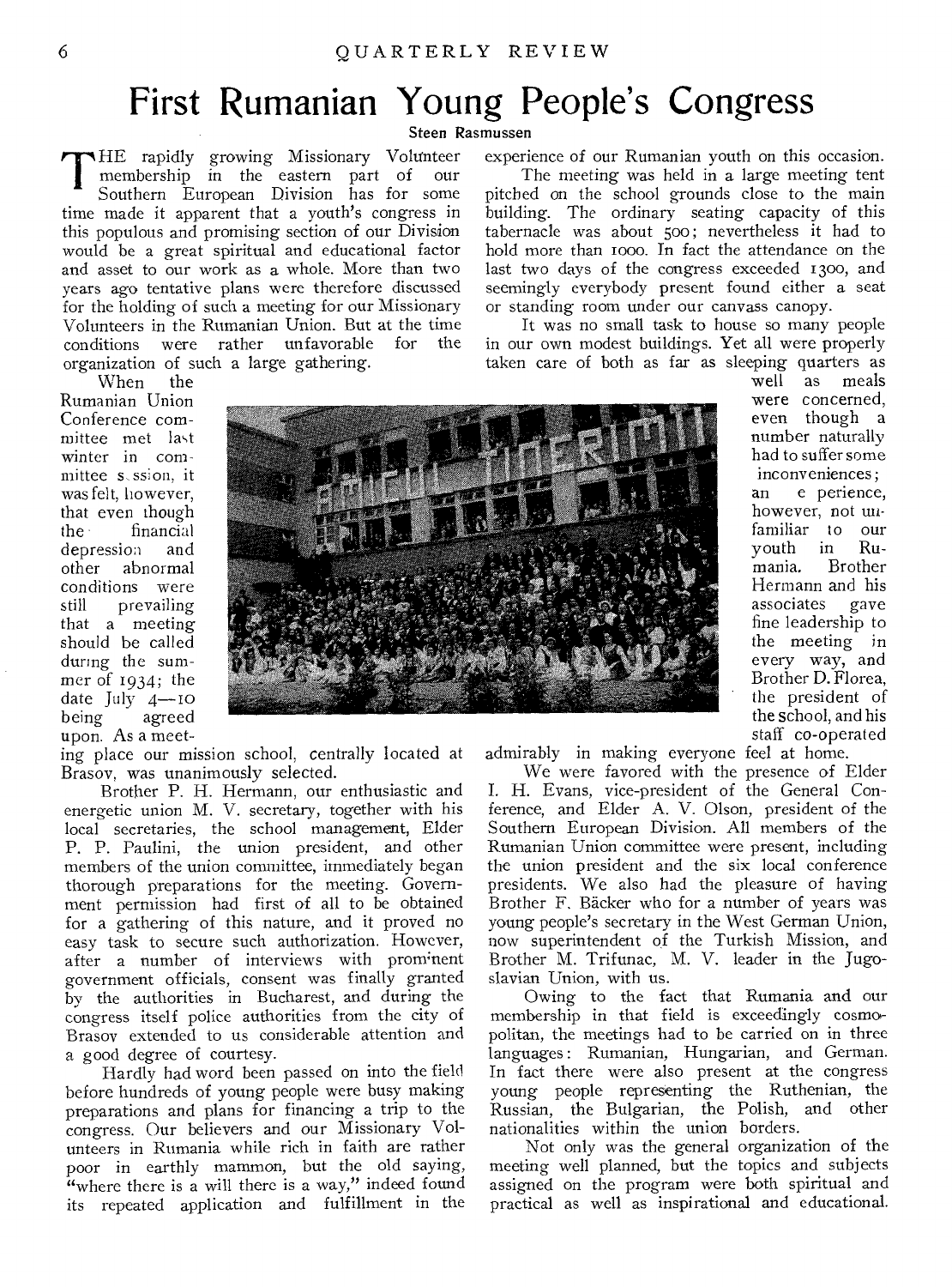## First Rumanian Young People's Congress

Steen Rasmussen

THE rapidly growing Missionary Volunteer<br>
membership in the eastern part of our<br>
Southern European Division has for some membership in the eastern part of our Southern European Division has for some time made it apparent that a youth's congress in this populous and promising section of our Division would be a great spiritual and educational factor and asset to our work as a whole. More than two years ago tentative plans were therefore discussed for the holding of such a meeting for our Missionary Volunteers in the Rumanian Union. But at the time conditions were rather unfavorable for organization of such a large gathering.

When the Rumanian Union Conference comniittee met last winter in committee s ssion. it was felt, however, that even though<br>the financial financial<br>ession and depression<br>other abn abnormal conditions were<br>still prevailing prevailing that a meeting should be called during the summer of 1934; the date July 4-10<br>being agreed agreed upon. As a meet-

ing place our mission school, centrally located at Brasov, was unanimously selected.

Brother P. H. Hermann, our enthusiastic and energetic union M. V. secretary, together with his local secretaries, the school management, Elder P. P. Paulini, the union president, and other members of the union committee, immediately began thorough preparations for the meeting. Government permission had first of all to be obtained for a gathering of this nature, and it proved no easy task to secure such authorization. However, after a number of interviews with prominent government officials, consent was finally granted by the authorities in Bucharest, and during the congress itself police authorities from the city of Brasov extended to us considerable attention and a good degree of courtesy.

Hardly had word been passed on into the field before hundreds of young people were busy making preparations and plans for financing a trip to the congress. Our believers and our Missionary Volunteers in Rumania while rich in faith are rather poor in earthly mammon, but the old saying, "where there is a will there is a way," indeed found its repeated application and fulfillment in the experience of our Rumanian youth on this occasion.

The meeting was held in a large meeting tent pitched on the school grounds close to the main building. The ordinary seating capacity of this tabernacle was about 500; nevertheless it had to hold more than i000. In fact the attendance on the last two days of the congress exceeded 1300, and seemingly everybody present found either a seat or standing room under our canvass canopy.

It was no small task to house so many people in our own modest buildings. Yet all were properly taken care of both as far as sleeping quarters as



meals were concerned, even though a number naturally had to suffer some inconveniences; an e perience, however, not unfamiliar to our youth in Ru-Brother Hermann and his associates gave fine leadership to the meeting in every way, and Brother D. Florea, the president of the school, and his staff co-operated

admirably in making everyone feel at home.

We were favored with the presence of Elder I. H. Evans, vice-president of the General Conference, and Elder A. V. Olson, president of the Southern European Division. All members of the Rumanian Union committee were present, including the union president and the six local conference presidents. We also had the pleasure of having Brother F. Backer who for a number of years was young people's secretary in the West German Union, now superintendent of the Turkish Mission, and Brother M. Trifunac, M. V. leader in the Jugoslavian Union, with us.

Owing to the fact that Rumania and our membership in that field is exceedingly cosmopolitan, the meetings had to be carried on in three languages: Rumanian, Hungarian, and German. In fact there were also present at the congress young people representing the Ruthenian, the Russian, the Bulgarian, the Polish, and other nationalities within the union borders.

Not only was the general organization of the meeting well planned, but the topics and subjects assigned on the program were both spiritual and practical as well as inspirational and educational.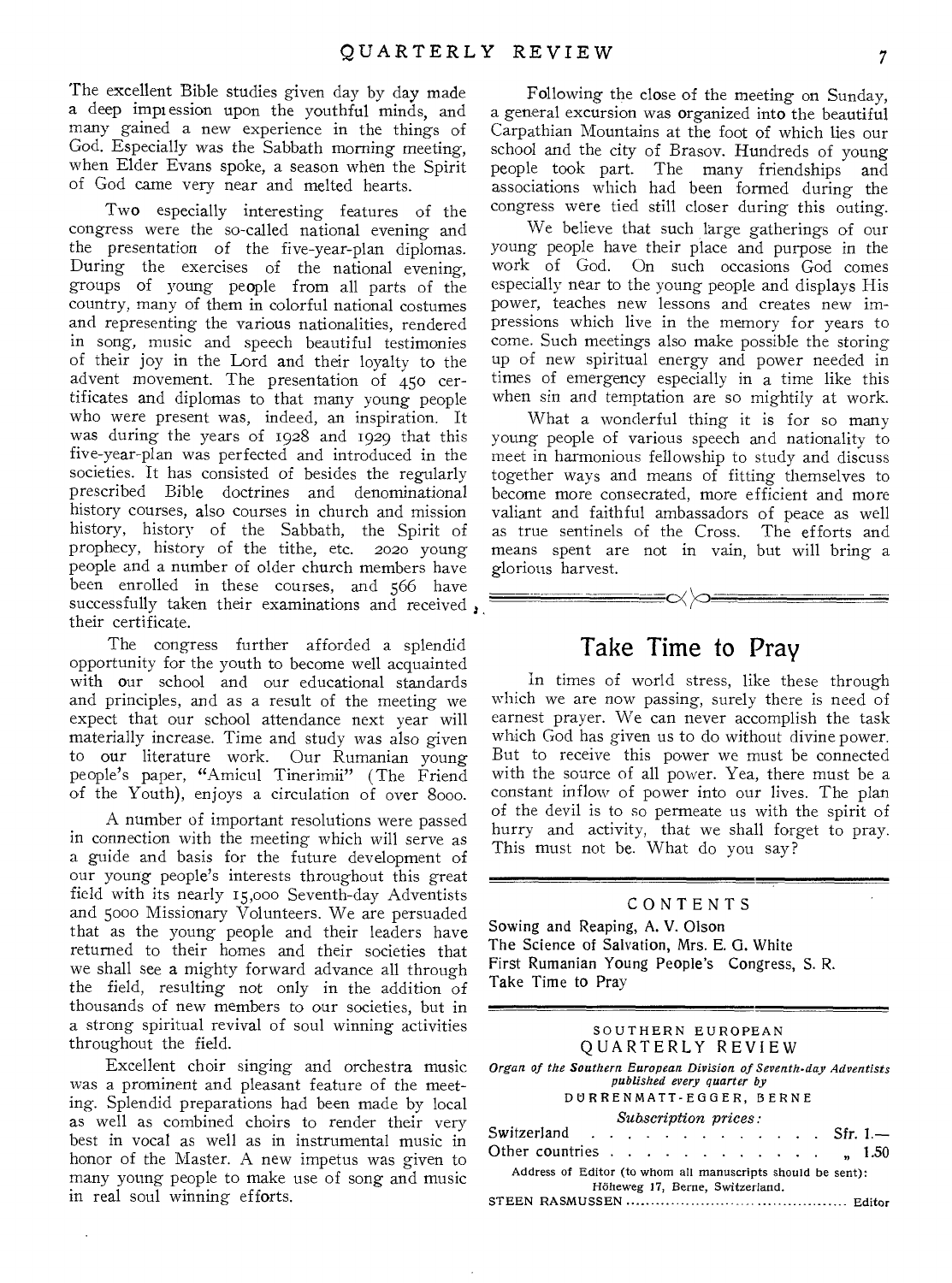The excellent Bible studies given day by day made a deep impression upon the youthful minds, and many gained a new experience in the things of God. Especially was the Sabbath morning meeting, when Elder Evans spoke, a season when the Spirit of God came very near and melted hearts.

Two especially interesting features of the congress were the so-called national evening and the presentation of the five-year-plan diplomas. During the exercises of the national evening, groups of young people from all parts of the country, many of them in colorful national costumes and representing the various nationalities, rendered in song, music and speech beautiful testimonies of their joy in the Lord and their loyalty to the advent movement. The presentation of 450 certificates and diplomas to that many young people who were present was, indeed, an inspiration. It was during the years of 1928 and 1929 that this five-year-plan was perfected and introduced in the societies. It has consisted of besides the regularly prescribed Bible doctrines and denominational history courses, also courses in church and mission history, history of the Sabbath, the Spirit of prophecy, history of the tithe, etc. 2020 young people and a number of older church members have been enrolled in these courses, and 566 have successfully taken their examinations and received, their certificate.

The congress further afforded a splendid opportunity for the youth to become well acquainted with our school and our educational standards and principles, and as a result of the meeting we expect that our school attendance next year will materially increase. Time and study was also given to our literature work. Our Rumanian young people's paper, "Amicul Tinerimii" (The Friend of the Youth), enjoys a circulation of over 8000.

A number of important resolutions were passed in connection with the meeting which will serve as a guide and basis for the future development of our young people's interests throughout this great field with its nearly 15,000 Seventh-day Adventists and 5000 Missionary Volunteers. We are persuaded that as the young people and their leaders have returned to their homes and their societies that we shall see a mighty forward advance all through the field, resulting not only in the addition of thousands of new members to our societies, but in a strong spiritual revival of soul winning activities throughout the field.

Excellent choir singing and orchestra music was a prominent and pleasant feature of the meeting. Splendid preparations had been made by local as well as combined choirs to render their very best in vocal as well as in instrumental music in honor of the Master. A new impetus was given to many young people to make use of song and music in real soul winning efforts.

 $\ddot{\phantom{a}}$ 

Following the close of the meeting on Sunday, a general excursion was organized into the beautiful Carpathian Mountains at the foot of which lies our school and the city of Brasov. Hundreds of young people took part. The many friendships and associations which had been formed during the congress were tied still closer during this outing.

We believe that such large gatherings of our young people have their place and purpose in the work of God. On such occasions God comes especially near to the young people and displays His power, teaches new lessons and creates new impressions which live in the memory for years to come. Such meetings also make possible the storing up of new spiritual energy and power needed in times of emergency especially in a time like this when sin and temptation are so mightily at work.

What a wonderful thing it is for so many young people of various speech and nationality to meet in harmonious fellowship to study and discuss together ways and means of fitting themselves to become more consecrated, more efficient and more valiant and faithful ambassadors of peace as well as true sentinels of the Cross. The efforts and means spent are not in vain, but will bring a glorious harvest.

#### Take Time to Pray

≡∝∞≡

In times of world stress, like these through which we are now passing, surely there is need of earnest prayer. We can never accomplish the task which God has given us to do without divine power. But to receive this power we must be connected with the source of all power. Yea, there must be a constant inflow of power into our lives. The plan of the devil is to so permeate us with the spirit of hurry and activity, that we shall forget to pray. This must not be. What do you say?

#### CONTENTS

Sowing and Reaping, A. V. Olson The Science of Salvation, Mrs. E. G. White First Rumanian Young People's Congress, S. R. Take Time to Pray

| SOUTHERN EUROPEAN                                                                                                          |
|----------------------------------------------------------------------------------------------------------------------------|
| QUARTERLY REVIEW                                                                                                           |
| Organ of the Southern European Division of Seventh-day Adventists<br>published every quarter by<br>DURRENMATT-EGGER, BERNE |
| Subscription prices:                                                                                                       |
| Switzerland $\cdots$ , $\cdots$ , $\cdots$ , $\cdots$ , Sfr. 1.-                                                           |
| Other countries<br>, 1.50                                                                                                  |
| Address of Editor (to whom all manuscripts should be sent):<br>Höheweg 17, Berne, Switzerland.                             |
|                                                                                                                            |